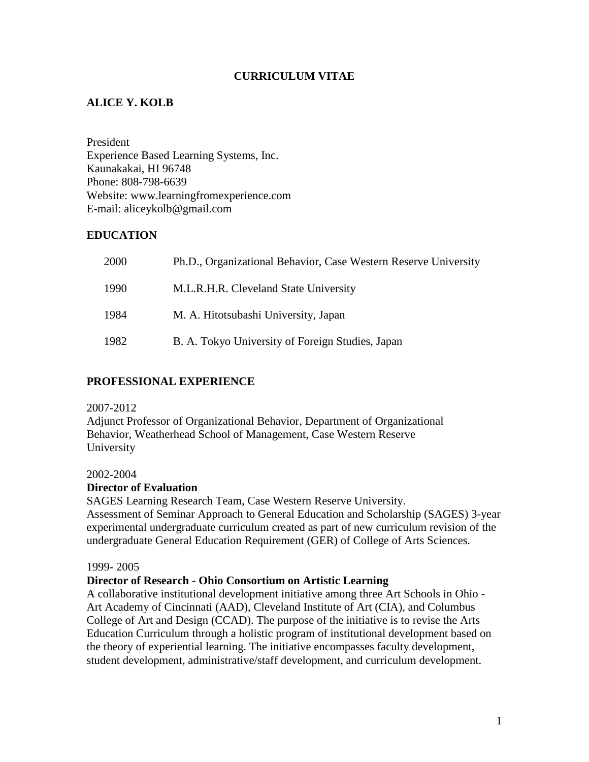## **CURRICULUM VITAE**

## **ALICE Y. KOLB**

President Experience Based Learning Systems, Inc. Kaunakakai, HI 96748 Phone: 808-798-6639 Website: www.learningfromexperience.com E-mail: aliceykolb@gmail.com

### **EDUCATION**

| 2000 | Ph.D., Organizational Behavior, Case Western Reserve University |
|------|-----------------------------------------------------------------|
| 1990 | M.L.R.H.R. Cleveland State University                           |
| 1984 | M. A. Hitotsubashi University, Japan                            |
| 1982 | B. A. Tokyo University of Foreign Studies, Japan                |

### **PROFESSIONAL EXPERIENCE**

#### 2007-2012

Adjunct Professor of Organizational Behavior, Department of Organizational Behavior, Weatherhead School of Management, Case Western Reserve University

#### 2002-2004

#### **Director of Evaluation**

SAGES Learning Research Team, Case Western Reserve University. Assessment of Seminar Approach to General Education and Scholarship (SAGES) 3-year experimental undergraduate curriculum created as part of new curriculum revision of the undergraduate General Education Requirement (GER) of College of Arts Sciences.

#### 1999- 2005

#### **Director of Research - Ohio Consortium on Artistic Learning**

A collaborative institutional development initiative among three Art Schools in Ohio - Art Academy of Cincinnati (AAD), Cleveland Institute of Art (CIA), and Columbus College of Art and Design (CCAD). The purpose of the initiative is to revise the Arts Education Curriculum through a holistic program of institutional development based on the theory of experiential learning. The initiative encompasses faculty development, student development, administrative/staff development, and curriculum development.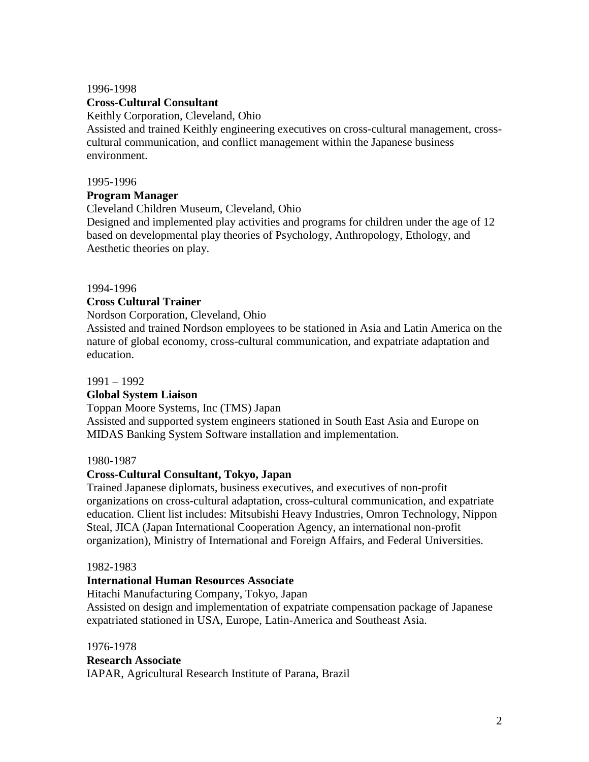#### 1996-1998

### **Cross-Cultural Consultant**

Keithly Corporation, Cleveland, Ohio

Assisted and trained Keithly engineering executives on cross-cultural management, crosscultural communication, and conflict management within the Japanese business environment.

#### 1995-1996

### **Program Manager**

Cleveland Children Museum, Cleveland, Ohio

Designed and implemented play activities and programs for children under the age of 12 based on developmental play theories of Psychology, Anthropology, Ethology, and Aesthetic theories on play.

### 1994-1996

### **Cross Cultural Trainer**

Nordson Corporation, Cleveland, Ohio

Assisted and trained Nordson employees to be stationed in Asia and Latin America on the nature of global economy, cross-cultural communication, and expatriate adaptation and education.

### 1991 – 1992

### **Global System Liaison**

Toppan Moore Systems, Inc (TMS) Japan

Assisted and supported system engineers stationed in South East Asia and Europe on MIDAS Banking System Software installation and implementation.

### 1980-1987

### **Cross-Cultural Consultant, Tokyo, Japan**

Trained Japanese diplomats, business executives, and executives of non-profit organizations on cross-cultural adaptation, cross-cultural communication, and expatriate education. Client list includes: Mitsubishi Heavy Industries, Omron Technology, Nippon Steal, JICA (Japan International Cooperation Agency, an international non-profit organization), Ministry of International and Foreign Affairs, and Federal Universities.

#### 1982-1983

### **International Human Resources Associate**

Hitachi Manufacturing Company, Tokyo, Japan

Assisted on design and implementation of expatriate compensation package of Japanese expatriated stationed in USA, Europe, Latin-America and Southeast Asia.

1976-1978

### **Research Associate**

IAPAR, Agricultural Research Institute of Parana, Brazil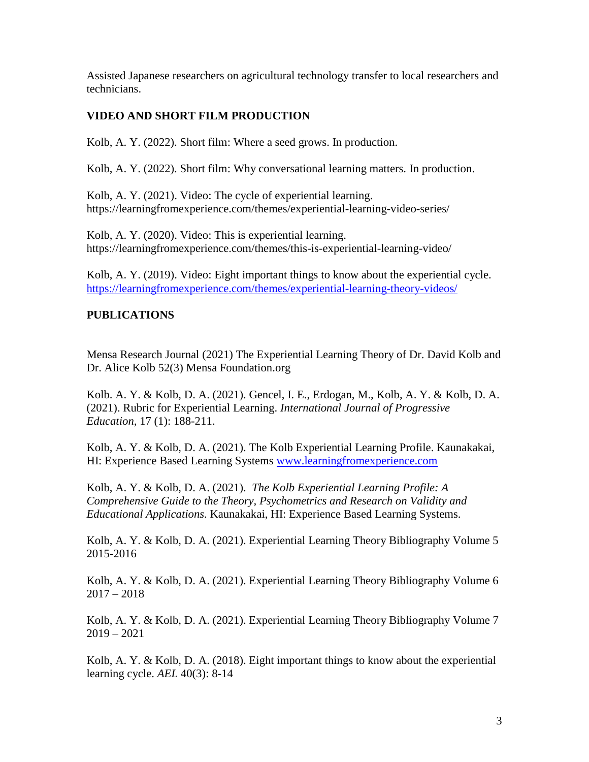Assisted Japanese researchers on agricultural technology transfer to local researchers and technicians.

## **VIDEO AND SHORT FILM PRODUCTION**

Kolb, A. Y. (2022). Short film: Where a seed grows. In production.

Kolb, A. Y. (2022). Short film: Why conversational learning matters. In production.

Kolb, A. Y. (2021). Video: The cycle of experiential learning. https://learningfromexperience.com/themes/experiential-learning-video-series/

Kolb, A. Y. (2020). Video: This is experiential learning. https://learningfromexperience.com/themes/this-is-experiential-learning-video/

Kolb, A. Y. (2019). Video: Eight important things to know about the experiential cycle. <https://learningfromexperience.com/themes/experiential-learning-theory-videos/>

## **PUBLICATIONS**

Mensa Research Journal (2021) The Experiential Learning Theory of Dr. David Kolb and Dr. Alice Kolb 52(3) Mensa Foundation.org

Kolb. A. Y. & Kolb, D. A. (2021). Gencel, I. E., Erdogan, M., Kolb, A. Y. & Kolb, D. A. (2021). Rubric for Experiential Learning. *International Journal of Progressive Education,* 17 (1): 188-211.

Kolb, A. Y. & Kolb, D. A. (2021). The Kolb Experiential Learning Profile. Kaunakakai, HI: Experience Based Learning Systems [www.learningfromexperience.com](http://www.learningfromexperience.com/)

Kolb, A. Y. & Kolb, D. A. (2021). *The Kolb Experiential Learning Profile: A Comprehensive Guide to the Theory, Psychometrics and Research on Validity and Educational Applications*. Kaunakakai, HI: Experience Based Learning Systems.

Kolb, A. Y. & Kolb, D. A. (2021). Experiential Learning Theory Bibliography Volume 5 2015-2016

Kolb, A. Y. & Kolb, D. A. (2021). Experiential Learning Theory Bibliography Volume 6  $2017 - 2018$ 

Kolb, A. Y. & Kolb, D. A. (2021). Experiential Learning Theory Bibliography Volume 7  $2019 - 2021$ 

Kolb, A. Y. & Kolb, D. A. (2018). Eight important things to know about the experiential learning cycle. *AEL* 40(3): 8-14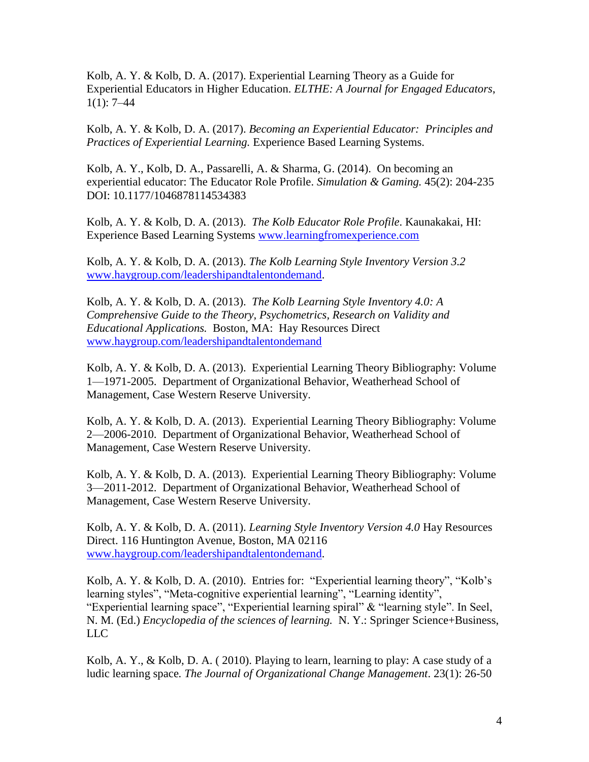Kolb, A. Y. & Kolb, D. A. (2017). Experiential Learning Theory as a Guide for Experiential Educators in Higher Education. *ELTHE: A Journal for Engaged Educators*,  $1(1): 7-44$ 

Kolb, A. Y. & Kolb, D. A. (2017). *Becoming an Experiential Educator: Principles and Practices of Experiential Learning.* Experience Based Learning Systems.

Kolb, A. Y., Kolb, D. A., Passarelli, A. & Sharma, G. (2014). On becoming an experiential educator: The Educator Role Profile. *Simulation & Gaming.* 45(2): 204-235 DOI: 10.1177/1046878114534383

Kolb, A. Y. & Kolb, D. A. (2013). *The Kolb Educator Role Profile*. Kaunakakai, HI: Experience Based Learning Systems [www.learningfromexperience.com](http://www.learningfromexperience.com/)

Kolb, A. Y. & Kolb, D. A. (2013). *The Kolb Learning Style Inventory Version 3.2* [www.haygroup.com/leadershipandtalentondemand.](http://www.haygroup.com/leadershipandtalentondemand)

Kolb, A. Y. & Kolb, D. A. (2013). *The Kolb Learning Style Inventory 4.0: A Comprehensive Guide to the Theory, Psychometrics, Research on Validity and Educational Applications.* Boston, MA: Hay Resources Direct [www.haygroup.com/leadershipandtalentondemand](http://www.haygroup.com/leadershipandtalentondemand)

Kolb, A. Y. & Kolb, D. A. (2013). Experiential Learning Theory Bibliography: Volume 1—1971-2005. Department of Organizational Behavior, Weatherhead School of Management, Case Western Reserve University.

Kolb, A. Y. & Kolb, D. A. (2013). Experiential Learning Theory Bibliography: Volume 2—2006-2010. Department of Organizational Behavior, Weatherhead School of Management, Case Western Reserve University.

Kolb, A. Y. & Kolb, D. A. (2013). Experiential Learning Theory Bibliography: Volume 3—2011-2012. Department of Organizational Behavior, Weatherhead School of Management, Case Western Reserve University.

Kolb, A. Y. & Kolb, D. A. (2011). *Learning Style Inventory Version 4.0* Hay Resources Direct. 116 Huntington Avenue, Boston, MA 02116 [www.haygroup.com/leadershipandtalentondemand.](http://www.haygroup.com/leadershipandtalentondemand)

Kolb, A. Y. & Kolb, D. A. (2010). Entries for: "Experiential learning theory", "Kolb's learning styles", "Meta-cognitive experiential learning", "Learning identity", "Experiential learning space", "Experiential learning spiral" & "learning style". In Seel, N. M. (Ed.) *Encyclopedia of the sciences of learning.* N. Y.: Springer Science+Business, LLC

Kolb, A. Y., & Kolb, D. A. ( 2010). Playing to learn, learning to play: A case study of a ludic learning space*. The Journal of Organizational Change Management*. 23(1): 26-50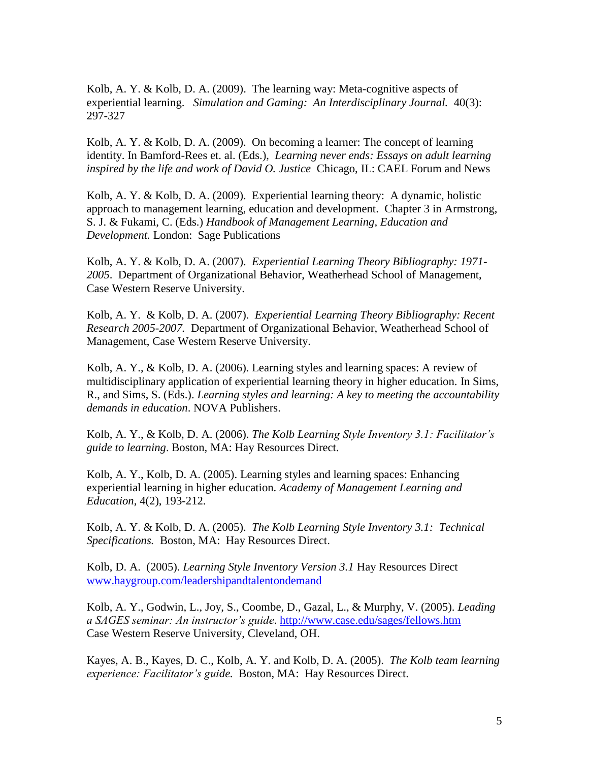Kolb, A. Y. & Kolb, D. A. (2009). The learning way: Meta-cognitive aspects of experiential learning. *Simulation and Gaming: An Interdisciplinary Journal.* 40(3): 297-327

Kolb, A. Y. & Kolb, D. A. (2009). On becoming a learner: The concept of learning identity. In Bamford-Rees et. al. (Eds.), *Learning never ends: Essays on adult learning inspired by the life and work of David O. Justice* Chicago, IL: CAEL Forum and News

Kolb, A. Y. & Kolb, D. A. (2009). Experiential learning theory: A dynamic, holistic approach to management learning, education and development. Chapter 3 in Armstrong, S. J. & Fukami, C. (Eds.) *Handbook of Management Learning, Education and Development.* London: Sage Publications

Kolb, A. Y. & Kolb, D. A. (2007). *Experiential Learning Theory Bibliography: 1971- 2005*. Department of Organizational Behavior, Weatherhead School of Management, Case Western Reserve University.

Kolb, A. Y. & Kolb, D. A. (2007). *Experiential Learning Theory Bibliography: Recent Research 2005-2007.* Department of Organizational Behavior, Weatherhead School of Management, Case Western Reserve University.

Kolb, A. Y., & Kolb, D. A. (2006). Learning styles and learning spaces: A review of multidisciplinary application of experiential learning theory in higher education. In Sims, R., and Sims, S. (Eds.). *Learning styles and learning: A key to meeting the accountability demands in education*. NOVA Publishers.

Kolb, A. Y., & Kolb, D. A. (2006). *The Kolb Learning Style Inventory 3.1: Facilitator's guide to learning*. Boston, MA: Hay Resources Direct.

Kolb, A. Y., Kolb, D. A. (2005). Learning styles and learning spaces: Enhancing experiential learning in higher education. *Academy of Management Learning and Education,* 4(2), 193-212*.*

Kolb, A. Y. & Kolb, D. A. (2005). *The Kolb Learning Style Inventory 3.1: Technical Specifications.* Boston, MA: Hay Resources Direct.

Kolb, D. A. (2005). *Learning Style Inventory Version 3.1* Hay Resources Direct [www.haygroup.com/leadershipandtalentondemand](http://www.haygroup.com/leadershipandtalentondemand)

Kolb, A. Y., Godwin, L., Joy, S., Coombe, D., Gazal, L., & Murphy, V. (2005). *Leading a SAGES seminar: An instructor's guide*.<http://www.case.edu/sages/fellows.htm> Case Western Reserve University, Cleveland, OH.

Kayes, A. B., Kayes, D. C., Kolb, A. Y. and Kolb, D. A. (2005). *The Kolb team learning experience: Facilitator's guide.* Boston, MA: Hay Resources Direct.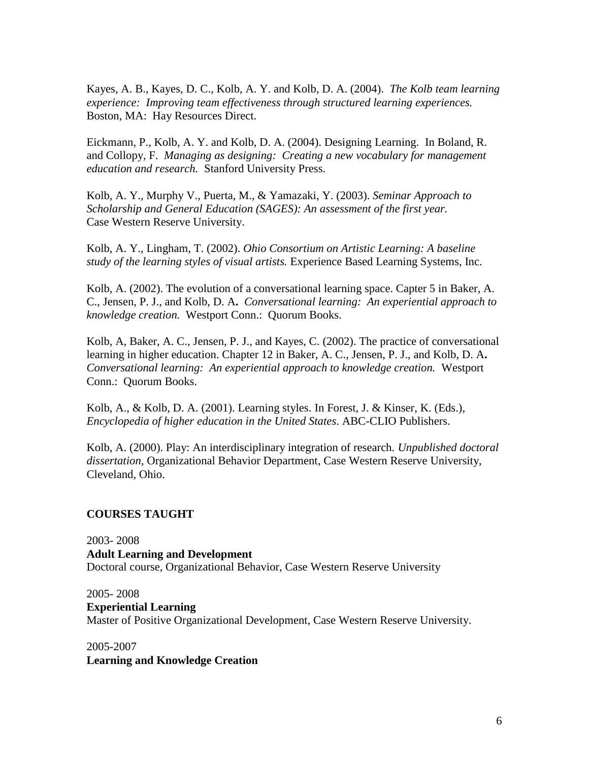Kayes, A. B., Kayes, D. C., Kolb, A. Y. and Kolb, D. A. (2004). *The Kolb team learning experience: Improving team effectiveness through structured learning experiences.*  Boston, MA: Hay Resources Direct.

Eickmann, P., Kolb, A. Y. and Kolb, D. A. (2004). Designing Learning. In Boland, R. and Collopy, F. *Managing as designing: Creating a new vocabulary for management education and research.* Stanford University Press.

Kolb, A. Y., Murphy V., Puerta, M., & Yamazaki, Y. (2003). *Seminar Approach to Scholarship and General Education (SAGES): An assessment of the first year.* Case Western Reserve University.

Kolb, A. Y., Lingham, T. (2002). *Ohio Consortium on Artistic Learning: A baseline study of the learning styles of visual artists.* Experience Based Learning Systems, Inc.

Kolb, A. (2002). The evolution of a conversational learning space. Capter 5 in Baker, A. C., Jensen, P. J., and Kolb, D. A**.** *Conversational learning: An experiential approach to knowledge creation.* Westport Conn.: Quorum Books.

Kolb, A, Baker, A. C., Jensen, P. J., and Kayes, C. (2002). The practice of conversational learning in higher education. Chapter 12 in Baker, A. C., Jensen, P. J., and Kolb, D. A**.**  *Conversational learning: An experiential approach to knowledge creation.* Westport Conn.: Quorum Books.

Kolb, A., & Kolb, D. A. (2001). Learning styles. In Forest, J. & Kinser, K. (Eds.), *Encyclopedia of higher education in the United States*. ABC-CLIO Publishers.

Kolb, A. (2000). Play: An interdisciplinary integration of research. *Unpublished doctoral dissertation*, Organizational Behavior Department, Case Western Reserve University, Cleveland, Ohio.

### **COURSES TAUGHT**

2003- 2008 **Adult Learning and Development**  Doctoral course, Organizational Behavior, Case Western Reserve University

2005- 2008 **Experiential Learning** Master of Positive Organizational Development, Case Western Reserve University.

2005-2007 **Learning and Knowledge Creation**